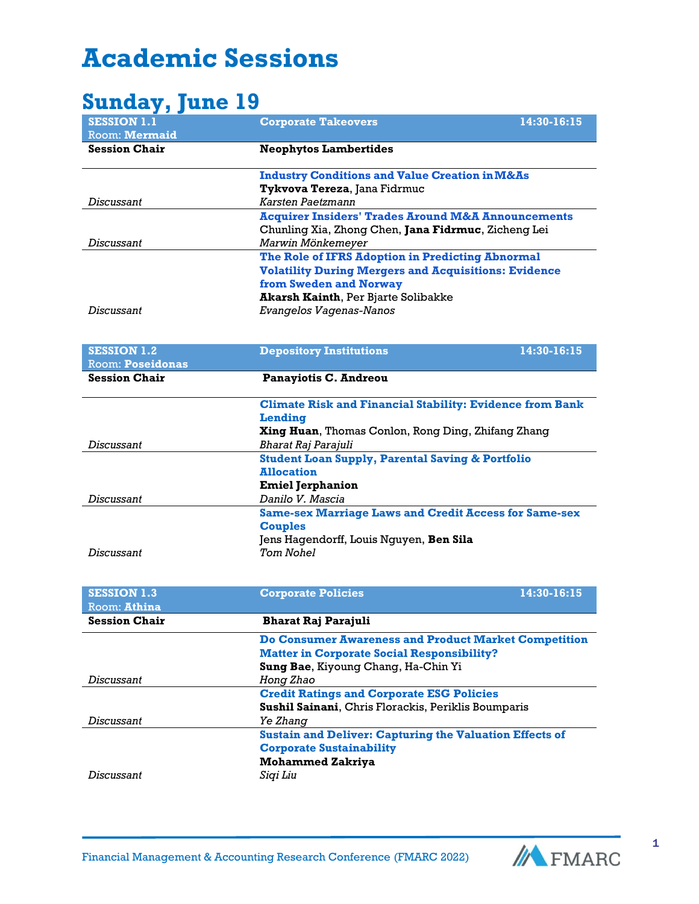## **Academic Sessions**

## **Sunday, June 19**

| <b>Danaaji janu to</b>  |                                                                 |             |
|-------------------------|-----------------------------------------------------------------|-------------|
| <b>SESSION 1.1</b>      | <b>Corporate Takeovers</b>                                      | 14:30-16:15 |
| Room: Mermaid           |                                                                 |             |
| <b>Session Chair</b>    | <b>Neophytos Lambertides</b>                                    |             |
|                         | <b>Industry Conditions and Value Creation in M&amp;As</b>       |             |
|                         | Tykvova Tereza, Jana Fidrmuc                                    |             |
| Discussant              | Karsten Paetzmann                                               |             |
|                         | <b>Acquirer Insiders' Trades Around M&amp;A Announcements</b>   |             |
|                         | Chunling Xia, Zhong Chen, Jana Fidrmuc, Zicheng Lei             |             |
| Discussant              | Marwin Mönkemeyer                                               |             |
|                         | The Role of IFRS Adoption in Predicting Abnormal                |             |
|                         | <b>Volatility During Mergers and Acquisitions: Evidence</b>     |             |
|                         | from Sweden and Norway                                          |             |
|                         | Akarsh Kainth, Per Bjarte Solibakke                             |             |
| Discussant              | Evangelos Vagenas-Nanos                                         |             |
|                         |                                                                 |             |
| <b>SESSION 1.2</b>      | <b>Depository Institutions</b>                                  | 14:30-16:15 |
| <b>Room: Poseidonas</b> |                                                                 |             |
| <b>Session Chair</b>    | <b>Panayiotis C. Andreou</b>                                    |             |
|                         |                                                                 |             |
|                         | <b>Climate Risk and Financial Stability: Evidence from Bank</b> |             |
|                         | <b>Lending</b>                                                  |             |
|                         | Xing Huan, Thomas Conlon, Rong Ding, Zhifang Zhang              |             |
| Discussant              | Bharat Raj Parajuli                                             |             |
|                         | <b>Student Loan Supply, Parental Saving &amp; Portfolio</b>     |             |
|                         | <b>Allocation</b>                                               |             |
|                         | <b>Emiel Jerphanion</b>                                         |             |
| Discussant              | Danilo V. Mascia                                                |             |
|                         | <b>Same-sex Marriage Laws and Credit Access for Same-sex</b>    |             |
|                         | <b>Couples</b>                                                  |             |
|                         | Jens Hagendorff, Louis Nguyen, Ben Sila                         |             |
| Discussant              | <b>Tom Nohel</b>                                                |             |
|                         |                                                                 |             |
| <b>SESSION 1.3</b>      | <b>Corporate Policies</b>                                       | 14:30-16:15 |
| Room: Athina            |                                                                 |             |
| <b>Session Chair</b>    | Bharat Raj Parajuli                                             |             |
|                         | <b>Do Consumer Awareness and Product Market Competition</b>     |             |
|                         | <b>Matter in Corporate Social Responsibility?</b>               |             |
|                         | Sung Bae, Kiyoung Chang, Ha-Chin Yi                             |             |
| Discussant              | Hong Zhao                                                       |             |
|                         | <b>Credit Ratings and Corporate ESG Policies</b>                |             |
|                         | Sushil Sainani, Chris Florackis, Periklis Boumparis             |             |
| Discussant              | Ye Zhang                                                        |             |
|                         | <b>Sustain and Deliver: Capturing the Valuation Effects of</b>  |             |
|                         | <b>Corporate Sustainability</b>                                 |             |
|                         | <b>Mohammed Zakriya</b>                                         |             |
| Discussant              | Siqi Liu                                                        |             |
|                         |                                                                 |             |

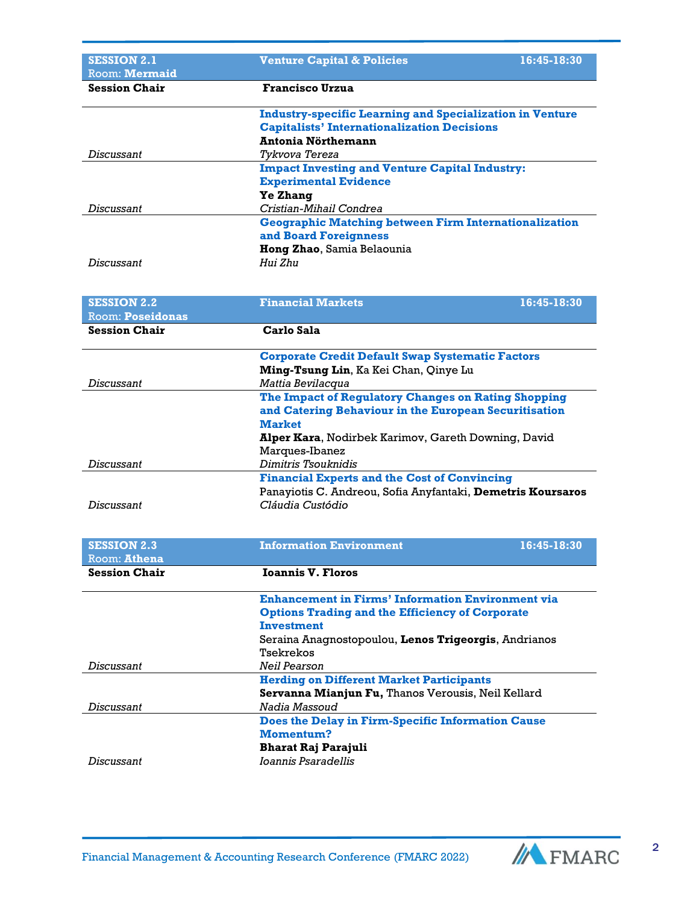| <b>SESSION 2.1</b>                              | <b>Venture Capital &amp; Policies</b><br>16:45-18:30            |
|-------------------------------------------------|-----------------------------------------------------------------|
| Room: Mermaid<br><b>Session Chair</b>           |                                                                 |
|                                                 | <b>Francisco Urzua</b>                                          |
|                                                 | <b>Industry-specific Learning and Specialization in Venture</b> |
|                                                 | <b>Capitalists' Internationalization Decisions</b>              |
|                                                 | Antonia Nörthemann                                              |
| Discussant                                      | Tykvova Tereza                                                  |
|                                                 | <b>Impact Investing and Venture Capital Industry:</b>           |
|                                                 | <b>Experimental Evidence</b>                                    |
|                                                 | <b>Ye Zhang</b>                                                 |
| Discussant                                      | Cristian-Mihail Condrea                                         |
|                                                 | <b>Geographic Matching between Firm Internationalization</b>    |
|                                                 | and Board Foreignness                                           |
|                                                 | Hong Zhao, Samia Belaounia                                      |
| <b>Discussant</b>                               | Hui Zhu                                                         |
|                                                 |                                                                 |
|                                                 |                                                                 |
| <b>SESSION 2.2</b>                              | <b>Financial Markets</b><br>16:45-18:30                         |
| <b>Room: Poseidonas</b><br><b>Session Chair</b> | Carlo Sala                                                      |
|                                                 |                                                                 |
|                                                 | <b>Corporate Credit Default Swap Systematic Factors</b>         |
|                                                 | Ming-Tsung Lin, Ka Kei Chan, Qinye Lu                           |
| Discussant                                      | Mattia Bevilacqua                                               |
|                                                 | The Impact of Regulatory Changes on Rating Shopping             |
|                                                 | and Catering Behaviour in the European Securitisation           |
|                                                 | <b>Market</b>                                                   |
|                                                 | Alper Kara, Nodirbek Karimov, Gareth Downing, David             |
|                                                 | Marques-Ibanez                                                  |
| Discussant                                      | Dimitris Tsouknidis                                             |
|                                                 | <b>Financial Experts and the Cost of Convincing</b>             |
|                                                 | Panayiotis C. Andreou, Sofia Anyfantaki, Demetris Koursaros     |
| Discussant                                      | Cláudia Custódio                                                |
|                                                 |                                                                 |
|                                                 |                                                                 |
| <b>SESSION 2.3</b>                              | <b>Information Environment</b><br>16:45-18:30                   |
| Room: Athena                                    |                                                                 |
| <b>Session Chair</b>                            | <b>Ioannis V. Floros</b>                                        |
|                                                 | <b>Enhancement in Firms' Information Environment via</b>        |
|                                                 | <b>Options Trading and the Efficiency of Corporate</b>          |
|                                                 | Investment                                                      |
|                                                 | Seraina Anagnostopoulou, Lenos Trigeorgis, Andrianos            |
|                                                 | Tsekrekos                                                       |
| Discussant                                      | <b>Neil Pearson</b>                                             |
|                                                 | <b>Herding on Different Market Participants</b>                 |
|                                                 | Servanna Mianjun Fu, Thanos Verousis, Neil Kellard              |
| Discussant                                      | Nadia Massoud                                                   |
|                                                 | <b>Does the Delay in Firm-Specific Information Cause</b>        |
|                                                 | <b>Momentum?</b>                                                |
|                                                 | <b>Bharat Raj Parajuli</b>                                      |
| Discussant                                      | Ioannis Psaradellis                                             |
|                                                 |                                                                 |



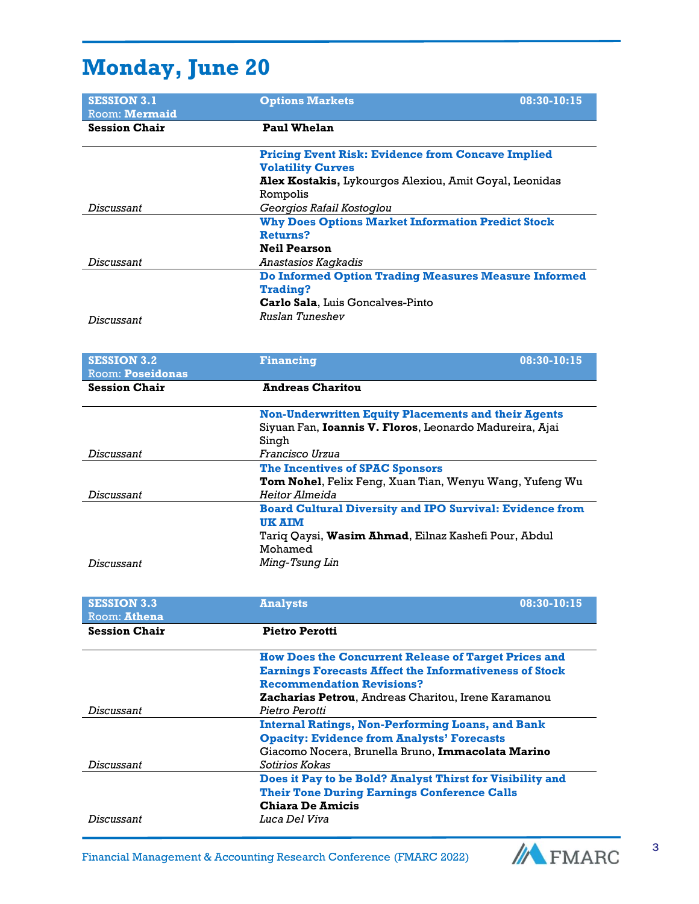## **Monday, June 20**

| <b>SESSION 3.1</b><br>Room: Mermaid | <b>Options Markets</b><br>08:30-10:15                                            |  |
|-------------------------------------|----------------------------------------------------------------------------------|--|
| <b>Session Chair</b>                | <b>Paul Whelan</b>                                                               |  |
|                                     | <b>Pricing Event Risk: Evidence from Concave Implied</b>                         |  |
|                                     | <b>Volatility Curves</b>                                                         |  |
|                                     | Alex Kostakis, Lykourgos Alexiou, Amit Goyal, Leonidas                           |  |
|                                     | Rompolis                                                                         |  |
| Discussant                          | Georgios Rafail Kostoglou                                                        |  |
|                                     | <b>Why Does Options Market Information Predict Stock</b>                         |  |
|                                     | <b>Returns?</b>                                                                  |  |
|                                     | <b>Neil Pearson</b>                                                              |  |
| <b>Discussant</b>                   | Anastasios Kagkadis                                                              |  |
|                                     | <b>Do Informed Option Trading Measures Measure Informed</b>                      |  |
|                                     | <b>Trading?</b>                                                                  |  |
|                                     | Carlo Sala, Luis Goncalves-Pinto                                                 |  |
| <b>Discussant</b>                   | Ruslan Tuneshev                                                                  |  |
|                                     |                                                                                  |  |
|                                     |                                                                                  |  |
|                                     |                                                                                  |  |
| <b>SESSION 3.2</b>                  | 08:30-10:15<br><b>Financing</b>                                                  |  |
| <b>Room: Poseidonas</b>             |                                                                                  |  |
| <b>Session Chair</b>                | <b>Andreas Charitou</b>                                                          |  |
|                                     |                                                                                  |  |
|                                     | <b>Non-Underwritten Equity Placements and their Agents</b>                       |  |
|                                     | Siyuan Fan, Ioannis V. Floros, Leonardo Madureira, Ajai<br>Sinah                 |  |
| Discussant                          | Francisco Urzua                                                                  |  |
|                                     | <b>The Incentives of SPAC Sponsors</b>                                           |  |
|                                     | Tom Nohel, Felix Feng, Xuan Tian, Wenyu Wang, Yufeng Wu                          |  |
| Discussant                          | Heitor Almeida                                                                   |  |
|                                     |                                                                                  |  |
|                                     | <b>Board Cultural Diversity and IPO Survival: Evidence from</b><br><b>UK AIM</b> |  |
|                                     | Tariq Qaysi, Wasim Ahmad, Eilnaz Kashefi Pour, Abdul                             |  |
|                                     | Mohamed                                                                          |  |
| Discussant                          | Ming-Tsung Lin                                                                   |  |
|                                     |                                                                                  |  |
|                                     |                                                                                  |  |

| Menness Viv<br>Room: Athena | <b>TERMS AND</b><br>VVIVV AVIAV                               |
|-----------------------------|---------------------------------------------------------------|
| <b>Session Chair</b>        | <b>Pietro Perotti</b>                                         |
|                             | <b>How Does the Concurrent Release of Target Prices and</b>   |
|                             | <b>Earnings Forecasts Affect the Informativeness of Stock</b> |
|                             | <b>Recommendation Revisions?</b>                              |
|                             | <b>Zacharias Petrou, Andreas Charitou, Irene Karamanou</b>    |
| Discussant                  | Pietro Perotti                                                |
|                             | <b>Internal Ratings, Non-Performing Loans, and Bank</b>       |
|                             | <b>Opacity: Evidence from Analysts' Forecasts</b>             |
|                             | Giacomo Nocera, Brunella Bruno, Immacolata Marino             |
| Discussant                  | Sotirios Kokas                                                |
|                             | Does it Pay to be Bold? Analyst Thirst for Visibility and     |
|                             | <b>Their Tone During Earnings Conference Calls</b>            |
|                             | <b>Chiara De Amicis</b>                                       |
| Discussant                  | Luca Del Viva                                                 |

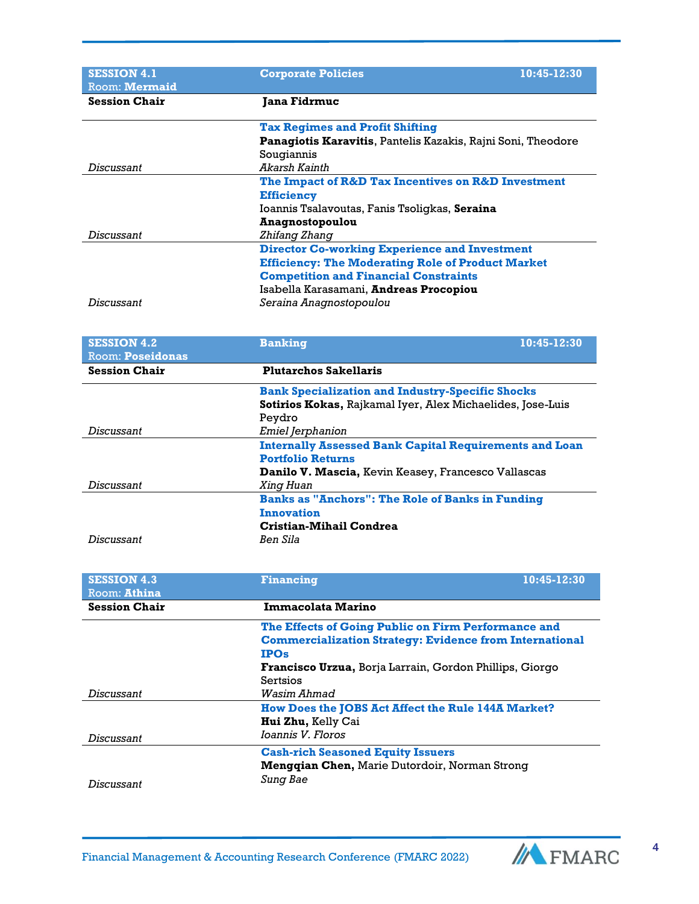| <b>SESSION 4.1</b>      | 10:45-12:30<br><b>Corporate Policies</b>                      |  |
|-------------------------|---------------------------------------------------------------|--|
| Room: Mermaid           |                                                               |  |
| <b>Session Chair</b>    | Jana Fidrmuc                                                  |  |
|                         | <b>Tax Regimes and Profit Shifting</b>                        |  |
|                         | Panagiotis Karavitis, Pantelis Kazakis, Rajni Soni, Theodore  |  |
|                         | Sougiannis                                                    |  |
| <b>Discussant</b>       | Akarsh Kainth                                                 |  |
|                         | The Impact of R&D Tax Incentives on R&D Investment            |  |
|                         | <b>Efficiency</b>                                             |  |
|                         | Ioannis Tsalavoutas, Fanis Tsoligkas, Seraina                 |  |
|                         | <b>Anagnostopoulou</b>                                        |  |
| <b>Discussant</b>       | Zhifang Zhang                                                 |  |
|                         | <b>Director Co-working Experience and Investment</b>          |  |
|                         | <b>Efficiency: The Moderating Role of Product Market</b>      |  |
|                         | <b>Competition and Financial Constraints</b>                  |  |
|                         | Isabella Karasamani, Andreas Procopiou                        |  |
| <b>Discussant</b>       | Seraina Anagnostopoulou                                       |  |
|                         |                                                               |  |
|                         |                                                               |  |
| <b>SESSION 4.2</b>      | 10:45-12:30<br><b>Banking</b>                                 |  |
| <b>Room: Poseidonas</b> |                                                               |  |
| <b>Session Chair</b>    | <b>Plutarchos Sakellaris</b>                                  |  |
|                         | <b>Bank Specialization and Industry-Specific Shocks</b>       |  |
|                         | Sotirios Kokas, Rajkamal Iyer, Alex Michaelides, Jose-Luis    |  |
|                         | Peydro                                                        |  |
| <b>Discussant</b>       | Emiel Jerphanion                                              |  |
|                         | <b>Internally Assessed Bank Capital Requirements and Loan</b> |  |
|                         | <b>Portfolio Returns</b>                                      |  |
|                         | Danilo V. Mascia, Kevin Keasey, Francesco Vallascas           |  |
| <b>Discussant</b>       | Xing Huan                                                     |  |
|                         | <b>Banks as "Anchors": The Role of Banks in Funding</b>       |  |
|                         | <b>Innovation</b>                                             |  |
|                         | <b>Cristian-Mihail Condrea</b>                                |  |

| <b>SESSION 4.3</b><br>Room: Athina | <b>Financing</b>                                                                | 10:45-12:30 |
|------------------------------------|---------------------------------------------------------------------------------|-------------|
| <b>Session Chair</b>               | Immacolata Marino                                                               |             |
|                                    | The Effects of Going Public on Firm Performance and                             |             |
|                                    | <b>Commercialization Strategy: Evidence from International</b><br><b>IPOs</b>   |             |
|                                    | <b>Francisco Urzua, Borja Larrain, Gordon Phillips, Giorgo</b>                  |             |
|                                    | Sertsios                                                                        |             |
| Discussant                         | Wasim Ahmad                                                                     |             |
|                                    | How Does the JOBS Act Affect the Rule 144A Market?<br><b>Hui Zhu, Kelly Cai</b> |             |
| Discussant                         | <i>Ioannis V. Floros</i>                                                        |             |
|                                    | <b>Cash-rich Seasoned Equity Issuers</b>                                        |             |
|                                    | <b>Mengqian Chen, Marie Dutordoir, Norman Strong</b>                            |             |
| Discussant                         | Sung Bae                                                                        |             |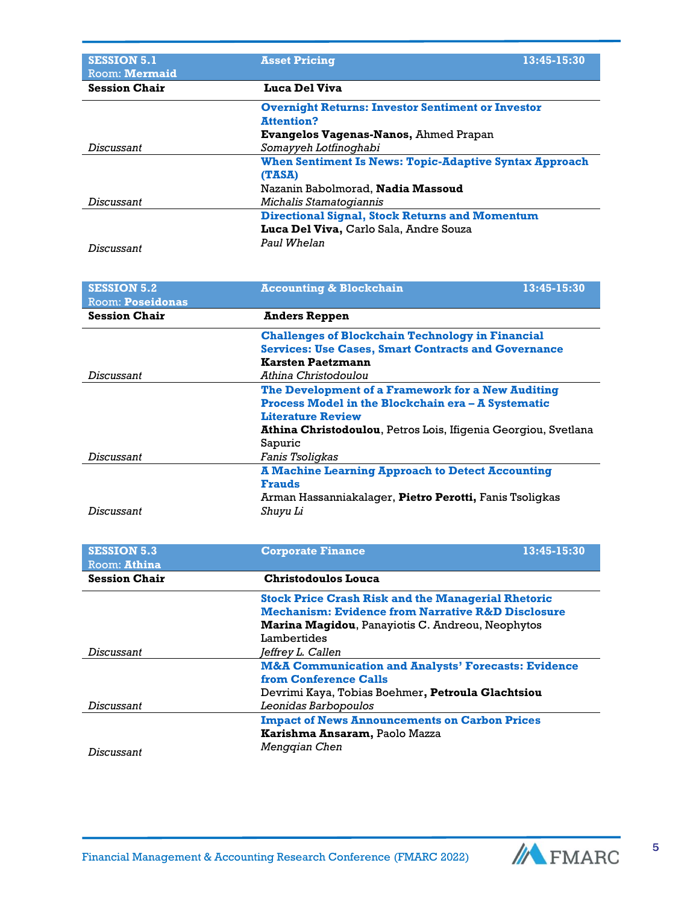| <b>SESSION 5.1</b><br>Room: Mermaid | <b>Asset Pricing</b>                                          | 13:45-15:30 |
|-------------------------------------|---------------------------------------------------------------|-------------|
| <b>Session Chair</b>                | Luca Del Viva                                                 |             |
|                                     | <b>Overnight Returns: Investor Sentiment or Investor</b>      |             |
|                                     | <b>Attention?</b>                                             |             |
|                                     | Evangelos Vagenas-Nanos, Ahmed Prapan                         |             |
| Discussant                          | Somayyeh Lotfinoghabi                                         |             |
|                                     | <b>When Sentiment Is News: Topic-Adaptive Syntax Approach</b> |             |
|                                     | (TASA)                                                        |             |
|                                     | Nazanin Babolmorad, <b>Nadia Massoud</b>                      |             |
| Discussant                          | <i>Michalis Stamatogiannis</i>                                |             |
|                                     | <b>Directional Signal, Stock Returns and Momentum</b>         |             |
|                                     | Luca Del Viva, Carlo Sala, Andre Souza                        |             |
| Discussant                          | Paul Whelan                                                   |             |

| <b>SESSION 5.2</b><br><b>Room: Poseidonas</b> | 13:45-15:30<br><b>Accounting &amp; Blockchain</b>              |  |
|-----------------------------------------------|----------------------------------------------------------------|--|
| <b>Session Chair</b>                          | <b>Anders Reppen</b>                                           |  |
|                                               | <b>Challenges of Blockchain Technology in Financial</b>        |  |
|                                               | <b>Services: Use Cases, Smart Contracts and Governance</b>     |  |
|                                               | <b>Karsten Paetzmann</b>                                       |  |
| Discussant                                    | Athina Christodoulou                                           |  |
|                                               | The Development of a Framework for a New Auditing              |  |
|                                               | <b>Process Model in the Blockchain era – A Systematic</b>      |  |
|                                               | <b>Literature Review</b>                                       |  |
|                                               | Athina Christodoulou, Petros Lois, Ifigenia Georgiou, Svetlana |  |
|                                               | Sapuric                                                        |  |
| Discussant                                    | <i>Fanis Tsoligkas</i>                                         |  |
|                                               | <b>A Machine Learning Approach to Detect Accounting</b>        |  |
|                                               | <b>Frauds</b>                                                  |  |
|                                               | Arman Hassanniakalager, Pietro Perotti, Fanis Tsoligkas        |  |
| Discussant                                    | Shuyu Li                                                       |  |

| <b>SESSION 5.3</b><br>Room: Athina | <b>Corporate Finance</b>                                       | 13:45-15:30 |
|------------------------------------|----------------------------------------------------------------|-------------|
| <b>Session Chair</b>               | Christodoulos Louca                                            |             |
|                                    | <b>Stock Price Crash Risk and the Managerial Rhetoric</b>      |             |
|                                    | <b>Mechanism: Evidence from Narrative R&amp;D Disclosure</b>   |             |
|                                    | <b>Marina Magidou, Panayiotis C. Andreou, Neophytos</b>        |             |
|                                    | Lambertides                                                    |             |
| Discussant                         | Jeffrey L. Callen                                              |             |
|                                    | <b>M&amp;A Communication and Analysts' Forecasts: Evidence</b> |             |
|                                    | from Conference Calls                                          |             |
|                                    | Devrimi Kaya, Tobias Boehmer, Petroula Glachtsiou              |             |
| Discussant                         | <i>Leonidas Barbopoulos</i>                                    |             |
|                                    | <b>Impact of News Announcements on Carbon Prices</b>           |             |
|                                    | Karishma Ansaram, Paolo Mazza                                  |             |
| Discussant                         | Menggian Chen                                                  |             |

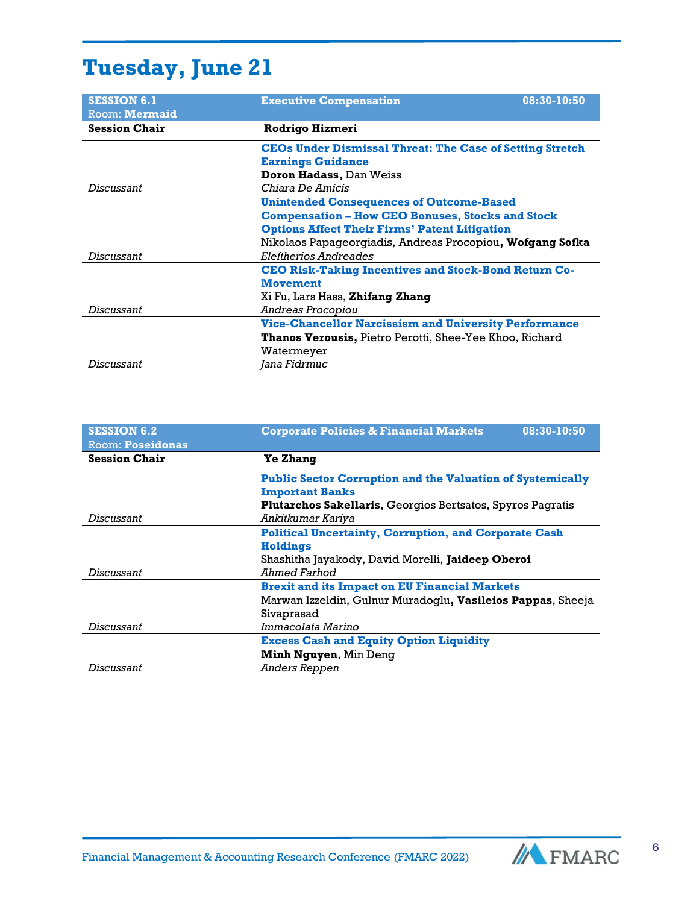## **Tuesday, June 21**

| <b>SESSION 6.1</b>   | <b>Executive Compensation</b><br>08:30-10:50                    |  |
|----------------------|-----------------------------------------------------------------|--|
| Room: Mermaid        |                                                                 |  |
| <b>Session Chair</b> | <b>Rodrigo Hizmeri</b>                                          |  |
|                      | <b>CEOs Under Dismissal Threat: The Case of Setting Stretch</b> |  |
|                      | <b>Earnings Guidance</b>                                        |  |
|                      | <b>Doron Hadass, Dan Weiss</b>                                  |  |
| Discussant           | Chiara De Amicis                                                |  |
|                      | <b>Unintended Consequences of Outcome-Based</b>                 |  |
|                      | <b>Compensation - How CEO Bonuses, Stocks and Stock</b>         |  |
|                      | <b>Options Affect Their Firms' Patent Litigation</b>            |  |
|                      | Nikolaos Papageorgiadis, Andreas Procopiou, Wofgang Sofka       |  |
| Discussant           | Eleftherios Andreades                                           |  |
|                      | <b>CEO Risk-Taking Incentives and Stock-Bond Return Co-</b>     |  |
|                      | <b>Movement</b>                                                 |  |
|                      | Xi Fu, Lars Hass, <b>Zhifang Zhang</b>                          |  |
| Discussant           | Andreas Procopiou                                               |  |
|                      | <b>Vice-Chancellor Narcissism and University Performance</b>    |  |
|                      | <b>Thanos Verousis, Pietro Perotti, Shee-Yee Khoo, Richard</b>  |  |
|                      | Watermeyer                                                      |  |
| Discussant           | Jana Fidrmuc                                                    |  |

| <b>SESSION 6.2</b><br><b>Room: Poseidonas</b> | 08:30-10:50<br><b>Corporate Policies &amp; Financial Markets</b>  |
|-----------------------------------------------|-------------------------------------------------------------------|
| <b>Session Chair</b>                          | <b>Ye Zhang</b>                                                   |
|                                               | <b>Public Sector Corruption and the Valuation of Systemically</b> |
|                                               | <b>Important Banks</b>                                            |
|                                               | <b>Plutarchos Sakellaris, Georgios Bertsatos, Spyros Pagratis</b> |
| Discussant                                    | Ankitkumar Kariya                                                 |
|                                               | <b>Political Uncertainty, Corruption, and Corporate Cash</b>      |
|                                               | <b>Holdings</b>                                                   |
|                                               | Shashitha Jayakody, David Morelli, Jaideep Oberoi                 |
| Discussant                                    | Ahmed Farhod                                                      |
|                                               | <b>Brexit and its Impact on EU Financial Markets</b>              |
|                                               | Marwan Izzeldin, Gulnur Muradoglu, Vasileios Pappas, Sheeja       |
|                                               | Sivaprasad                                                        |
| Discussant                                    | Immacolata Marino                                                 |
|                                               | <b>Excess Cash and Equity Option Liquidity</b>                    |
|                                               | <b>Minh Nguyen, Min Deng</b>                                      |
| Discussant                                    | Anders Reppen                                                     |

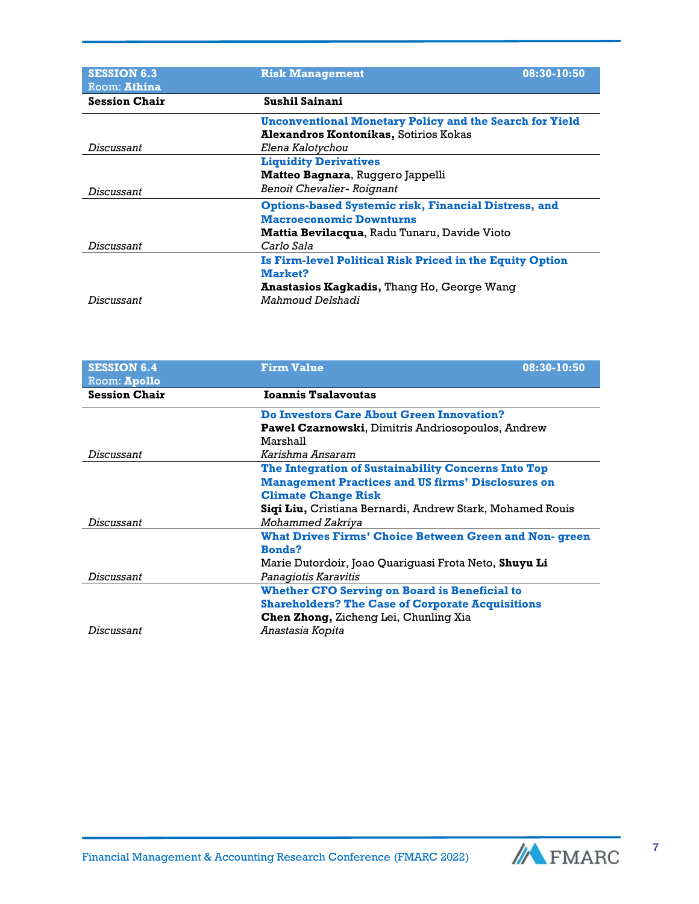| <b>SESSION 6.3</b>                   | <b>Risk Management</b>                                         | 08:30-10:50 |
|--------------------------------------|----------------------------------------------------------------|-------------|
| Room: Athina<br><b>Session Chair</b> | <b>Sushil Sainani</b>                                          |             |
|                                      | <b>Unconventional Monetary Policy and the Search for Yield</b> |             |
|                                      | <b>Alexandros Kontonikas, Sotirios Kokas</b>                   |             |
| Discussant                           | Elena Kalotychou                                               |             |
|                                      | <b>Liquidity Derivatives</b>                                   |             |
|                                      | Matteo Bagnara, Ruggero Jappelli                               |             |
| Discussant                           | <b>Benoit Chevalier- Roignant</b>                              |             |
|                                      | <b>Options-based Systemic risk, Financial Distress, and</b>    |             |
|                                      | <b>Macroeconomic Downturns</b>                                 |             |
|                                      | <b>Mattia Bevilacqua, Radu Tunaru, Davide Vioto</b>            |             |
| Discussant                           | Carlo Sala                                                     |             |
|                                      | Is Firm-level Political Risk Priced in the Equity Option       |             |
|                                      | Market?                                                        |             |
|                                      | <b>Anastasios Kagkadis, Thang Ho, George Wang</b>              |             |
| Discussant                           | Mahmoud Delshadi                                               |             |

| <b>SESSION 6.4</b>   | <b>Firm Value</b><br>08:30-10:50                             |
|----------------------|--------------------------------------------------------------|
| Room: Apollo         |                                                              |
| <b>Session Chair</b> | <b>Ioannis Tsalavoutas</b>                                   |
|                      | <b>Do Investors Care About Green Innovation?</b>             |
|                      | <b>Pawel Czarnowski, Dimitris Andriosopoulos, Andrew</b>     |
|                      | Marshall                                                     |
| Discussant           | Karishma Ansaram                                             |
|                      | The Integration of Sustainability Concerns Into Top          |
|                      | <b>Management Practices and US firms' Disclosures on</b>     |
|                      | <b>Climate Change Risk</b>                                   |
|                      | Sigi Liu, Cristiana Bernardi, Andrew Stark, Mohamed Rouis    |
| Discussant           | Mohammed Zakriya                                             |
|                      | <b>What Drives Firms' Choice Between Green and Non-green</b> |
|                      | <b>Bonds?</b>                                                |
|                      | Marie Dutordoir, Joao Quariguasi Frota Neto, Shuyu Li        |
| Discussant           | Panagiotis Karavitis                                         |
|                      | <b>Whether CFO Serving on Board is Beneficial to</b>         |
|                      | <b>Shareholders? The Case of Corporate Acquisitions</b>      |
|                      | Chen Zhong, Zicheng Lei, Chunling Xia                        |
| Discussant           | Anastasia Kopita                                             |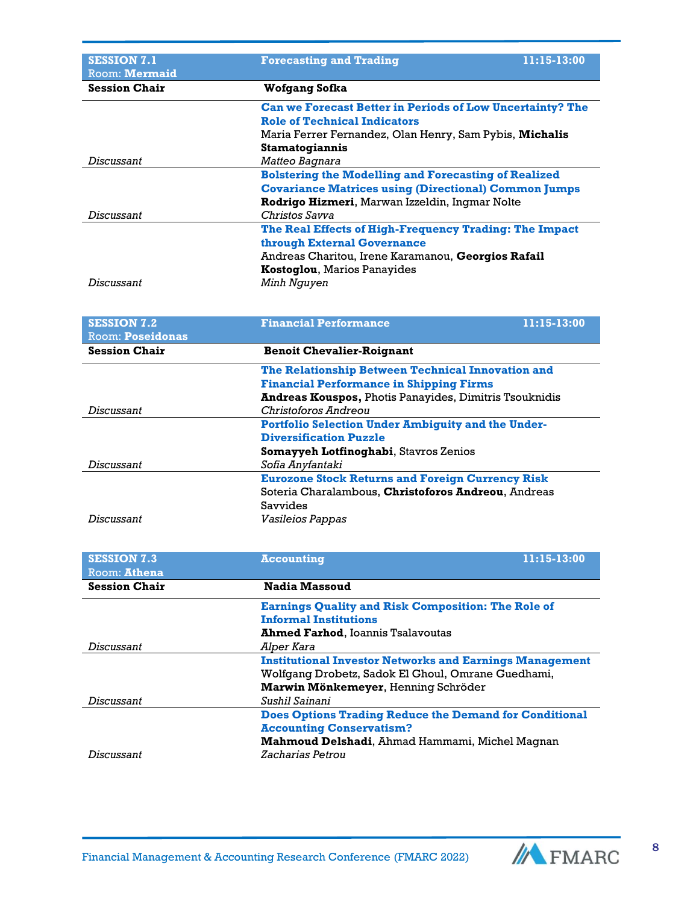| <b>SESSION 7.1</b><br><b>Room: Mermaid</b> | <b>Forecasting and Trading</b>                                   | 11:15-13:00 |  |
|--------------------------------------------|------------------------------------------------------------------|-------------|--|
| <b>Session Chair</b>                       | Wofgang Sofka                                                    |             |  |
|                                            | <b>Can we Forecast Better in Periods of Low Uncertainty? The</b> |             |  |
|                                            | <b>Role of Technical Indicators</b>                              |             |  |
|                                            | Maria Ferrer Fernandez, Olan Henry, Sam Pybis, Michalis          |             |  |
|                                            | Stamatogiannis                                                   |             |  |
| Discussant                                 | <i>Matteo Bagnara</i>                                            |             |  |
|                                            | <b>Bolstering the Modelling and Forecasting of Realized</b>      |             |  |
|                                            | <b>Covariance Matrices using (Directional) Common Jumps</b>      |             |  |
|                                            | Rodrigo Hizmeri, Marwan Izzeldin, Ingmar Nolte                   |             |  |
| Discussant                                 | Christos Savva                                                   |             |  |
|                                            | The Real Effects of High-Frequency Trading: The Impact           |             |  |
|                                            | through External Governance                                      |             |  |
|                                            | Andreas Charitou, Irene Karamanou, Georgios Rafail               |             |  |
|                                            | <b>Kostoglou, Marios Panayides</b>                               |             |  |
| Discussant                                 | Minh Nguyen                                                      |             |  |

| <b>SESSION 7.2</b><br>Room: <b>Poseidonas</b> | <b>Financial Performance</b>                                                                                               | 11:15-13:00 |
|-----------------------------------------------|----------------------------------------------------------------------------------------------------------------------------|-------------|
| <b>Session Chair</b>                          | <b>Benoit Chevalier-Roignant</b>                                                                                           |             |
|                                               | The Relationship Between Technical Innovation and<br><b>Financial Performance in Shipping Firms</b>                        |             |
| Discussant                                    | <b>Andreas Kouspos, Photis Panayides, Dimitris Tsouknidis</b><br>Christoforos Andreou                                      |             |
|                                               | <b>Portfolio Selection Under Ambiguity and the Under-</b>                                                                  |             |
|                                               | <b>Diversification Puzzle</b>                                                                                              |             |
| Discussant                                    | Somayyeh Lotfinoghabi, Stavros Zenios<br>Sofia Anyfantaki                                                                  |             |
|                                               | <b>Eurozone Stock Returns and Foreign Currency Risk</b><br>Soteria Charalambous, Christoforos Andreou, Andreas<br>Savvides |             |
| Discussant                                    | <i><b>Vasileios Pappas</b></i>                                                                                             |             |

| <b>SESSION 7.3</b>   | 11:15-13:00<br><b>Accounting</b>                               |  |
|----------------------|----------------------------------------------------------------|--|
| Room: <b>Athena</b>  |                                                                |  |
| <b>Session Chair</b> | <b>Nadia Massoud</b>                                           |  |
|                      | <b>Earnings Quality and Risk Composition: The Role of</b>      |  |
|                      | <b>Informal Institutions</b>                                   |  |
|                      | <b>Ahmed Farhod, Ioannis Tsalavoutas</b>                       |  |
| Discussant           | Alper Kara                                                     |  |
|                      | <b>Institutional Investor Networks and Earnings Management</b> |  |
|                      | Wolfgang Drobetz, Sadok El Ghoul, Omrane Guedhami,             |  |
|                      | Marwin Mönkemeyer, Henning Schröder                            |  |
| Discussant           | Sushil Sainani                                                 |  |
|                      | <b>Does Options Trading Reduce the Demand for Conditional</b>  |  |
|                      | <b>Accounting Conservatism?</b>                                |  |
|                      | <b>Mahmoud Delshadi</b> , Ahmad Hammami, Michel Magnan         |  |
| Discussant           | Zacharias Petrou                                               |  |

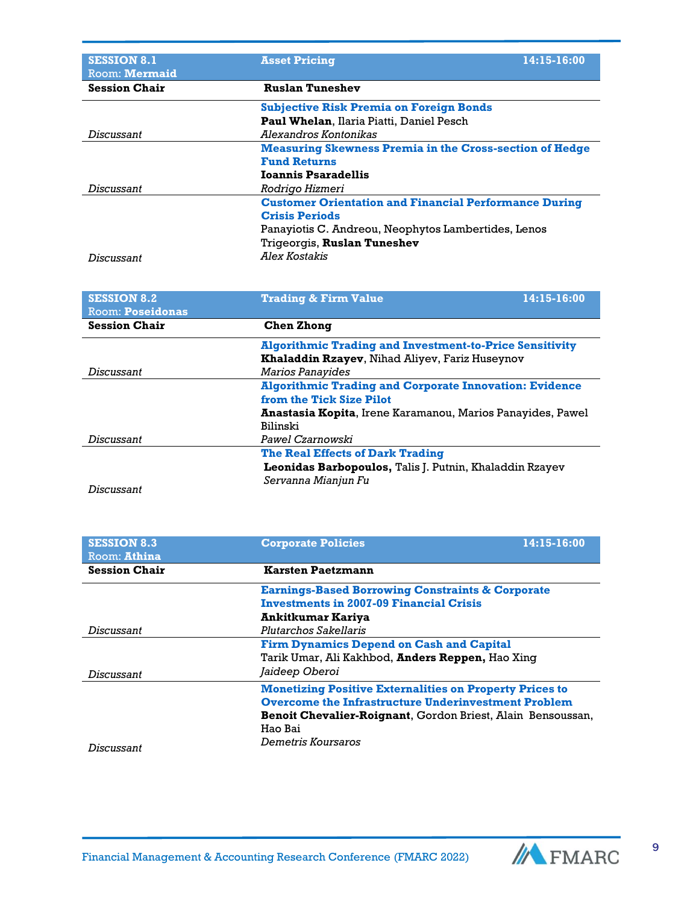| <b>SESSION 8.1</b><br>Room: Mermaid | <b>Asset Pricing</b>                                           | 14:15-16:00 |
|-------------------------------------|----------------------------------------------------------------|-------------|
| <b>Session Chair</b>                | <b>Ruslan Tuneshev</b>                                         |             |
|                                     | <b>Subjective Risk Premia on Foreign Bonds</b>                 |             |
|                                     | Paul Whelan, Ilaria Piatti, Daniel Pesch                       |             |
| Discussant                          | Alexandros Kontonikas                                          |             |
|                                     | <b>Measuring Skewness Premia in the Cross-section of Hedge</b> |             |
|                                     | <b>Fund Returns</b>                                            |             |
|                                     | <b>Ioannis Psaradellis</b>                                     |             |
| Discussant                          | Rodrigo Hizmeri                                                |             |
|                                     | <b>Customer Orientation and Financial Performance During</b>   |             |
|                                     | <b>Crisis Periods</b>                                          |             |
|                                     | Panayiotis C. Andreou, Neophytos Lambertides, Lenos            |             |
|                                     | Trigeorgis, Ruslan Tuneshev                                    |             |
| Discussant                          | Alex Kostakis                                                  |             |

| <b>SESSION 8.2</b>      | <b>Trading &amp; Firm Value</b>                                | 14:15-16:00 |
|-------------------------|----------------------------------------------------------------|-------------|
| <b>Room: Poseidonas</b> |                                                                |             |
| <b>Session Chair</b>    | Chen Zhong                                                     |             |
|                         | <b>Algorithmic Trading and Investment-to-Price Sensitivity</b> |             |
|                         | Khaladdin Rzayev, Nihad Aliyev, Fariz Huseynov                 |             |
| Discussant              | <b>Marios Panavides</b>                                        |             |
|                         | <b>Algorithmic Trading and Corporate Innovation: Evidence</b>  |             |
|                         | from the Tick Size Pilot                                       |             |
|                         | Anastasia Kopita, Irene Karamanou, Marios Panayides, Pawel     |             |
|                         | Bilinski                                                       |             |
| Discussant              | <i>Pawel Czarnowski</i>                                        |             |
|                         | <b>The Real Effects of Dark Trading</b>                        |             |
|                         | <b>Leonidas Barbopoulos, Talis J. Putnin, Khaladdin Rzayev</b> |             |
|                         | Servanna Mianjun Fu                                            |             |
| Discussant              |                                                                |             |

| <b>SESSION 8.3</b><br>Room: Athina | 14:15-16:00<br><b>Corporate Policies</b>                       |  |  |
|------------------------------------|----------------------------------------------------------------|--|--|
| <b>Session Chair</b>               | <b>Karsten Paetzmann</b>                                       |  |  |
|                                    | <b>Earnings-Based Borrowing Constraints &amp; Corporate</b>    |  |  |
|                                    | <b>Investments in 2007-09 Financial Crisis</b>                 |  |  |
|                                    | Ankitkumar Kariya                                              |  |  |
| Discussant                         | Plutarchos Sakellaris                                          |  |  |
|                                    | <b>Firm Dynamics Depend on Cash and Capital</b>                |  |  |
|                                    | Tarik Umar, Ali Kakhbod, Anders Reppen, Hao Xing               |  |  |
| Discussant                         | Jaideep Oberoi                                                 |  |  |
|                                    | <b>Monetizing Positive Externalities on Property Prices to</b> |  |  |
|                                    | <b>Overcome the Infrastructure Underinvestment Problem</b>     |  |  |
|                                    | Benoit Chevalier-Roignant, Gordon Briest, Alain Bensoussan,    |  |  |
|                                    | Hao Bai                                                        |  |  |
| Discussant                         | Demetris Koursaros                                             |  |  |